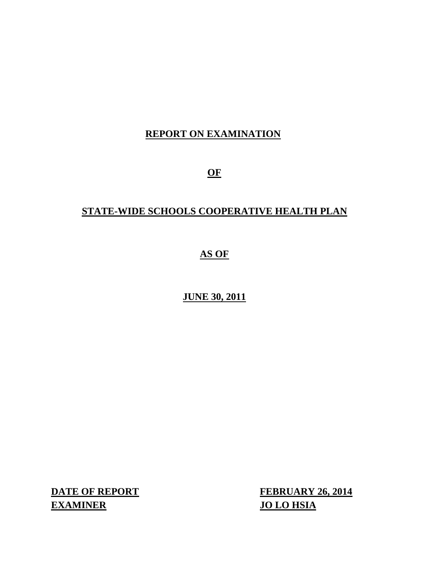# **REPORT ON EXAMINATION**

**OF** 

# **STATE-WIDE SCHOOLS COOPERATIVE HEALTH PLAN**

# **AS OF**

# **JUNE 30, 2011**

**EXAMINER JO LO HSIA** 

**DATE OF REPORT FEBRUARY 26, 2014**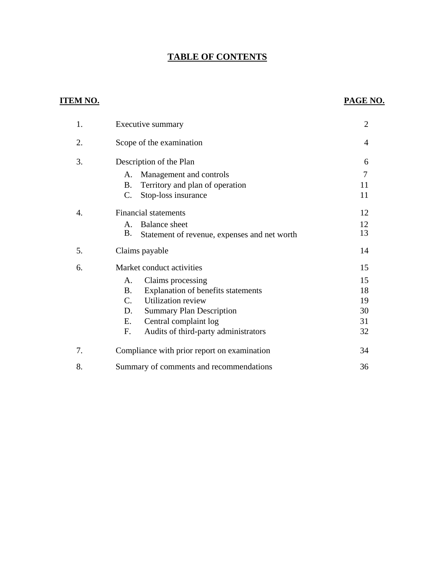# **TABLE OF CONTENTS**

# **ITEM NO. PAGE NO.**

| 1. | Executive summary                                  |                |
|----|----------------------------------------------------|----------------|
| 2. | Scope of the examination                           | 4              |
| 3. | Description of the Plan                            | 6              |
|    | Management and controls<br>A.                      | $\overline{7}$ |
|    | Territory and plan of operation<br><b>B.</b>       | 11             |
|    | $\mathcal{C}$ .<br>Stop-loss insurance             | 11             |
| 4. | <b>Financial statements</b>                        | 12             |
|    | <b>Balance</b> sheet<br>A.                         | 12             |
|    | Β.<br>Statement of revenue, expenses and net worth | 13             |
| 5. | Claims payable                                     | 14             |
| 6. | Market conduct activities                          | 15             |
|    | Claims processing<br>A.                            | 15             |
|    | Explanation of benefits statements<br><b>B.</b>    | 18             |
|    | $C_{\cdot}$<br><b>Utilization review</b>           | 19             |
|    | D.<br><b>Summary Plan Description</b>              | 30             |
|    | Central complaint log<br>Ε.                        | 31             |
|    | Audits of third-party administrators<br>F.         | 32             |
| 7. | Compliance with prior report on examination        | 34             |
| 8. | Summary of comments and recommendations            | 36             |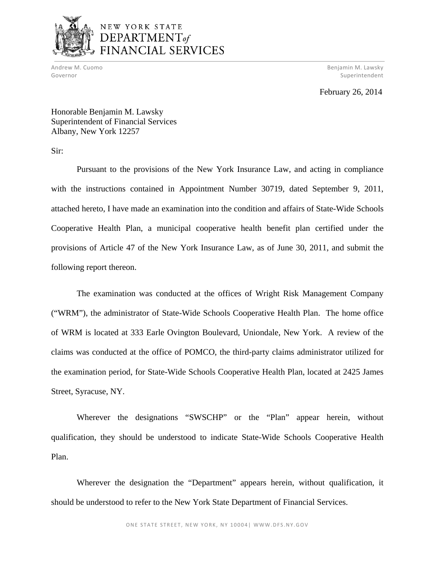

# NEW YORK STATE DEPARTMENT of FINANCIAL SERVICES

 Andrew M. Cuomo Benjamin M. Lawsky Governor Superintendent and Superintendent and Superintendent and Superintendent and Superintendent and Superintendent

February 26, 2014

Honorable Benjamin M. Lawsky Superintendent of Financial Services Albany, New York 12257

Sir:

Pursuant to the provisions of the New York Insurance Law, and acting in compliance with the instructions contained in Appointment Number 30719, dated September 9, 2011, attached hereto, I have made an examination into the condition and affairs of State-Wide Schools Cooperative Health Plan, a municipal cooperative health benefit plan certified under the provisions of Article 47 of the New York Insurance Law, as of June 30, 2011, and submit the following report thereon.

The examination was conducted at the offices of Wright Risk Management Company ("WRM"), the administrator of State-Wide Schools Cooperative Health Plan. The home office of WRM is located at 333 Earle Ovington Boulevard, Uniondale, New York. A review of the claims was conducted at the office of POMCO, the third-party claims administrator utilized for the examination period, for State-Wide Schools Cooperative Health Plan, located at 2425 James Street, Syracuse, NY.

Wherever the designations "SWSCHP" or the "Plan" appear herein, without qualification, they should be understood to indicate State-Wide Schools Cooperative Health Plan.

Wherever the designation the "Department" appears herein, without qualification, it should be understood to refer to the New York State Department of Financial Services.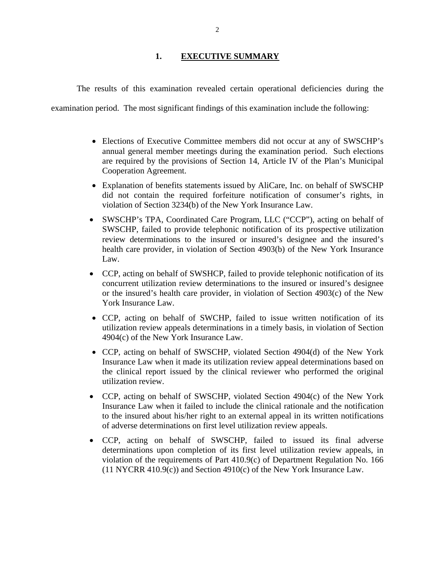## **1. EXECUTIVE SUMMARY**

<span id="page-3-0"></span>The results of this examination revealed certain operational deficiencies during the

examination period. The most significant findings of this examination include the following:

- Elections of Executive Committee members did not occur at any of SWSCHP's annual general member meetings during the examination period. Such elections are required by the provisions of Section 14, Article IV of the Plan's Municipal Cooperation Agreement.
- Explanation of benefits statements issued by AliCare, Inc. on behalf of SWSCHP did not contain the required forfeiture notification of consumer's rights, in violation of Section 3234(b) of the New York Insurance Law.
- SWSCHP's TPA, Coordinated Care Program, LLC ("CCP"), acting on behalf of SWSCHP, failed to provide telephonic notification of its prospective utilization review determinations to the insured or insured's designee and the insured's health care provider, in violation of Section 4903(b) of the New York Insurance Law.
- CCP, acting on behalf of SWSHCP, failed to provide telephonic notification of its concurrent utilization review determinations to the insured or insured's designee or the insured's health care provider, in violation of Section 4903(c) of the New York Insurance Law.
- CCP, acting on behalf of SWCHP, failed to issue written notification of its utilization review appeals determinations in a timely basis, in violation of Section 4904(c) of the New York Insurance Law.
- CCP, acting on behalf of SWSCHP, violated Section 4904(d) of the New York Insurance Law when it made its utilization review appeal determinations based on the clinical report issued by the clinical reviewer who performed the original utilization review.
- CCP, acting on behalf of SWSCHP, violated Section 4904(c) of the New York Insurance Law when it failed to include the clinical rationale and the notification to the insured about his/her right to an external appeal in its written notifications of adverse determinations on first level utilization review appeals.
- CCP, acting on behalf of SWSCHP, failed to issued its final adverse determinations upon completion of its first level utilization review appeals, in violation of the requirements of Part 410.9(c) of Department Regulation No. 166 (11 NYCRR 410.9(c)) and Section 4910(c) of the New York Insurance Law.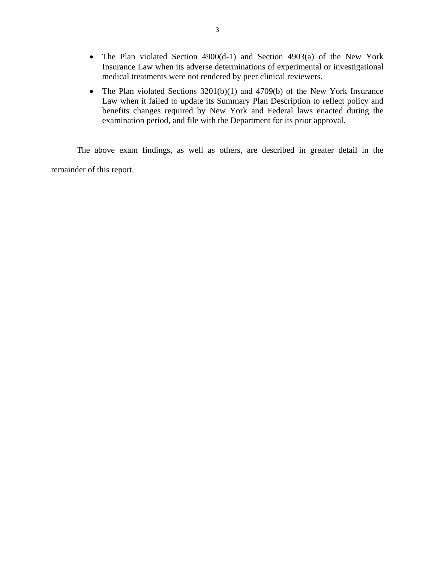- The Plan violated Section 4900(d-1) and Section 4903(a) of the New York Insurance Law when its adverse determinations of experimental or investigational medical treatments were not rendered by peer clinical reviewers.
- The Plan violated Sections 3201(b)(1) and 4709(b) of the New York Insurance Law when it failed to update its Summary Plan Description to reflect policy and benefits changes required by New York and Federal laws enacted during the examination period, and file with the Department for its prior approval.

The above exam findings, as well as others, are described in greater detail in the remainder of this report.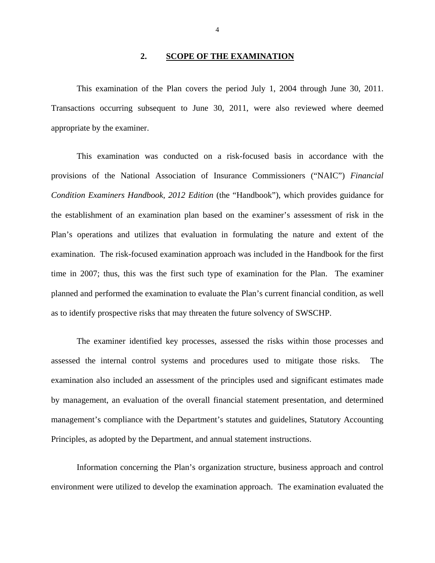#### **2. SCOPE OF THE EXAMINATION**

<span id="page-5-0"></span>This examination of the Plan covers the period July 1, 2004 through June 30, 2011. Transactions occurring subsequent to June 30, 2011, were also reviewed where deemed appropriate by the examiner.

This examination was conducted on a risk-focused basis in accordance with the provisions of the National Association of Insurance Commissioners ("NAIC") *Financial Condition Examiners Handbook, 2012 Edition* (the "Handbook"), which provides guidance for the establishment of an examination plan based on the examiner's assessment of risk in the Plan's operations and utilizes that evaluation in formulating the nature and extent of the examination. The risk-focused examination approach was included in the Handbook for the first time in 2007; thus, this was the first such type of examination for the Plan. The examiner planned and performed the examination to evaluate the Plan's current financial condition, as well as to identify prospective risks that may threaten the future solvency of SWSCHP.

The examiner identified key processes, assessed the risks within those processes and assessed the internal control systems and procedures used to mitigate those risks. The examination also included an assessment of the principles used and significant estimates made by management, an evaluation of the overall financial statement presentation, and determined management's compliance with the Department's statutes and guidelines, Statutory Accounting Principles, as adopted by the Department, and annual statement instructions.

Information concerning the Plan's organization structure, business approach and control environment were utilized to develop the examination approach. The examination evaluated the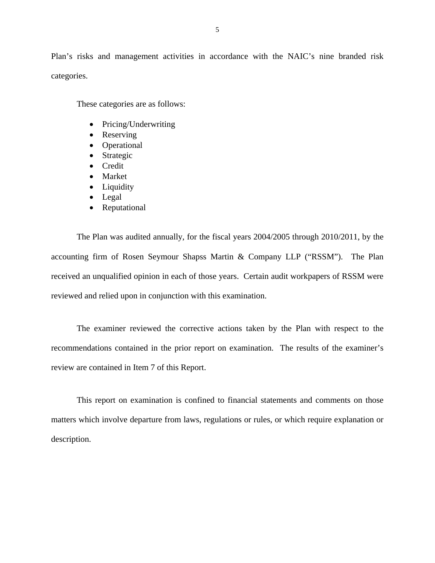Plan's risks and management activities in accordance with the NAIC's nine branded risk categories.

These categories are as follows:

- Pricing/Underwriting
- Reserving
- Operational
- Strategic
- **•** Credit
- Market
- Liquidity
- Legal
- Reputational

The Plan was audited annually, for the fiscal years 2004/2005 through 2010/2011, by the accounting firm of Rosen Seymour Shapss Martin & Company LLP ("RSSM"). The Plan received an unqualified opinion in each of those years. Certain audit workpapers of RSSM were reviewed and relied upon in conjunction with this examination.

The examiner reviewed the corrective actions taken by the Plan with respect to the recommendations contained in the prior report on examination. The results of the examiner's review are contained in Item 7 of this Report.

This report on examination is confined to financial statements and comments on those matters which involve departure from laws, regulations or rules, or which require explanation or description.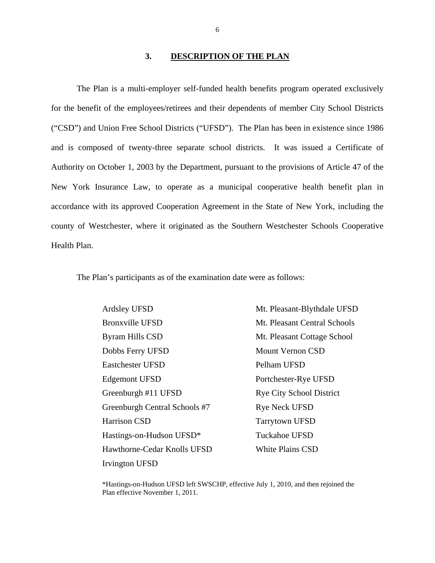#### **3. DESCRIPTION OF THE PLAN**

<span id="page-7-0"></span>Health Plan. The Plan is a multi-employer self-funded health benefits program operated exclusively for the benefit of the employees/retirees and their dependents of member City School Districts ("CSD") and Union Free School Districts ("UFSD"). The Plan has been in existence since 1986 and is composed of twenty-three separate school districts. It was issued a Certificate of Authority on October 1, 2003 by the Department, pursuant to the provisions of Article 47 of the New York Insurance Law, to operate as a municipal cooperative health benefit plan in accordance with its approved Cooperation Agreement in the State of New York, including the county of Westchester, where it originated as the Southern Westchester Schools Cooperative

The Plan's participants as of the examination date were as follows:

 Ardsley UFSD Pelham UFSD Irvington UFSD Bronxville UFSD Byram Hills CSD Dobbs Ferry UFSD Eastchester UFSD Edgemont UFSD Greenburgh #11 UFSD Greenburgh Central Schools #7 Harrison CSD Hastings-on-Hudson UFSD\* Hawthorne-Cedar Knolls UFSD Mt. Pleasant-Blythdale UFSD Mt. Pleasant Central Schools Mt. Pleasant Cottage School Mount Vernon CSD Portchester-Rye UFSD Rye City School District Rye Neck UFSD Tarrytown UFSD Tuckahoe UFSD White Plains CSD

\*Hastings-on-Hudson UFSD left SWSCHP, effective July 1, 2010, and then rejoined the Plan effective November 1, 2011.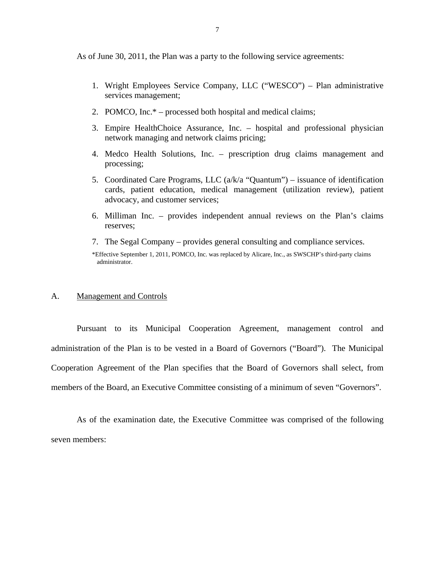<span id="page-8-0"></span>As of June 30, 2011, the Plan was a party to the following service agreements:

- 1. Wright Employees Service Company, LLC ("WESCO") Plan administrative services management;
- 2. POMCO, Inc.\* processed both hospital and medical claims;
- 3. Empire HealthChoice Assurance, Inc. hospital and professional physician network managing and network claims pricing;
- 4. Medco Health Solutions, Inc. prescription drug claims management and processing;
- 5. Coordinated Care Programs, LLC  $(a/k/a$  "Quantum") issuance of identification cards, patient education, medical management (utilization review), patient advocacy, and customer services;
- 6. Milliman Inc. provides independent annual reviews on the Plan's claims reserves;
- 7. The Segal Company provides general consulting and compliance services.

\*Effective September 1, 2011, POMCO, Inc. was replaced by Alicare, Inc., as SWSCHP's third-party claims administrator.

#### A. Management and Controls

Pursuant to its Municipal Cooperation Agreement, management control and administration of the Plan is to be vested in a Board of Governors ("Board"). The Municipal Cooperation Agreement of the Plan specifies that the Board of Governors shall select, from members of the Board, an Executive Committee consisting of a minimum of seven "Governors".

As of the examination date, the Executive Committee was comprised of the following seven members: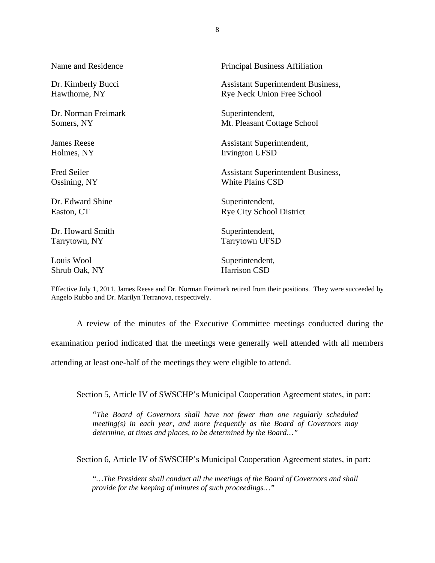| Name and Residence  | <b>Principal Business Affiliation</b>     |
|---------------------|-------------------------------------------|
| Dr. Kimberly Bucci  | <b>Assistant Superintendent Business,</b> |
| Hawthorne, NY       | <b>Rye Neck Union Free School</b>         |
| Dr. Norman Freimark | Superintendent,                           |
| Somers, NY          | Mt. Pleasant Cottage School               |
| <b>James Reese</b>  | Assistant Superintendent,                 |
| Holmes, NY          | Irvington UFSD                            |
| <b>Fred Seiler</b>  | <b>Assistant Superintendent Business,</b> |
| Ossining, NY        | <b>White Plains CSD</b>                   |
| Dr. Edward Shine    | Superintendent,                           |
| Easton, CT          | <b>Rye City School District</b>           |
| Dr. Howard Smith    | Superintendent,                           |
| Tarrytown, NY       | <b>Tarrytown UFSD</b>                     |
| Louis Wool          | Superintendent,                           |
| Shrub Oak, NY       | Harrison CSD                              |

 Effective July 1, 2011, James Reese and Dr. Norman Freimark retired from their positions. They were succeeded by Angelo Rubbo and Dr. Marilyn Terranova, respectively.

A review of the minutes of the Executive Committee meetings conducted during the

examination period indicated that the meetings were generally well attended with all members

attending at least one-half of the meetings they were eligible to attend.

Section 5, Article IV of SWSCHP's Municipal Cooperation Agreement states, in part:

"*The Board of Governors shall have not fewer than one regularly scheduled meeting(s) in each year, and more frequently as the Board of Governors may determine, at times and places, to be determined by the Board…"* 

Section 6, Article IV of SWSCHP's Municipal Cooperation Agreement states, in part:

*"…The President shall conduct all the meetings of the Board of Governors and shall provide for the keeping of minutes of such proceedings…"*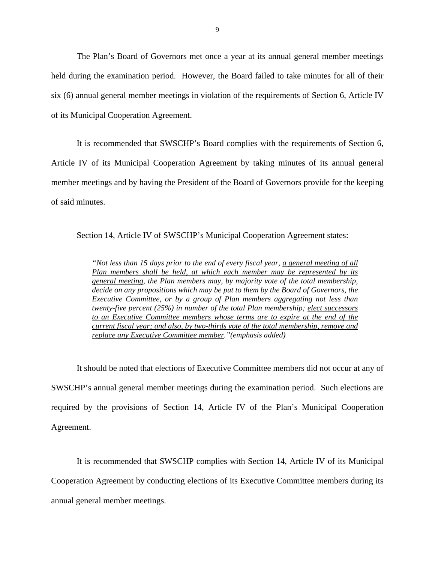The Plan's Board of Governors met once a year at its annual general member meetings held during the examination period. However, the Board failed to take minutes for all of their six (6) annual general member meetings in violation of the requirements of Section 6, Article IV of its Municipal Cooperation Agreement.

It is recommended that SWSCHP's Board complies with the requirements of Section 6, Article IV of its Municipal Cooperation Agreement by taking minutes of its annual general member meetings and by having the President of the Board of Governors provide for the keeping of said minutes.

Section 14, Article IV of SWSCHP's Municipal Cooperation Agreement states:

*"Not less than 15 days prior to the end of every fiscal year, a general meeting of all Plan members shall be held, at which each member may be represented by its general meeting, the Plan members may, by majority vote of the total membership, decide on any propositions which may be put to them by the Board of Governors, the Executive Committee, or by a group of Plan members aggregating not less than twenty-five percent (25%) in number of the total Plan membership; elect successors to an Executive Committee members whose terms are to expire at the end of the current fiscal year; and also, by two-thirds vote of the total membership, remove and replace any Executive Committee member."(emphasis added)* 

It should be noted that elections of Executive Committee members did not occur at any of SWSCHP's annual general member meetings during the examination period. Such elections are required by the provisions of Section 14, Article IV of the Plan's Municipal Cooperation Agreement.

It is recommended that SWSCHP complies with Section 14, Article IV of its Municipal Cooperation Agreement by conducting elections of its Executive Committee members during its annual general member meetings.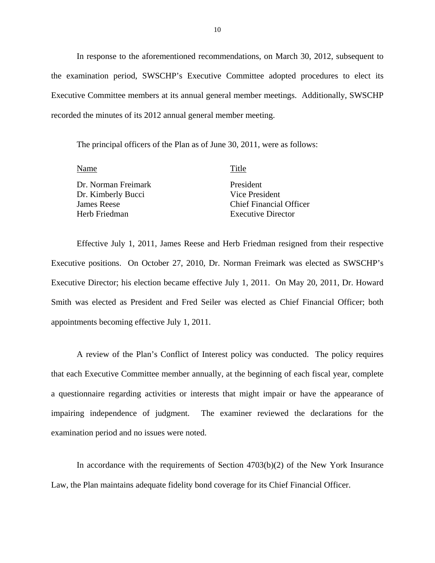In response to the aforementioned recommendations, on March 30, 2012, subsequent to the examination period, SWSCHP's Executive Committee adopted procedures to elect its Executive Committee members at its annual general member meetings. Additionally, SWSCHP recorded the minutes of its 2012 annual general member meeting.

The principal officers of the Plan as of June 30, 2011, were as follows:

| Title                          |
|--------------------------------|
| President                      |
| Vice President                 |
| <b>Chief Financial Officer</b> |
| <b>Executive Director</b>      |
|                                |

Effective July 1, 2011, James Reese and Herb Friedman resigned from their respective Executive positions. On October 27, 2010, Dr. Norman Freimark was elected as SWSCHP's Executive Director; his election became effective July 1, 2011. On May 20, 2011, Dr. Howard Smith was elected as President and Fred Seiler was elected as Chief Financial Officer; both appointments becoming effective July 1, 2011.

A review of the Plan's Conflict of Interest policy was conducted. The policy requires that each Executive Committee member annually, at the beginning of each fiscal year, complete a questionnaire regarding activities or interests that might impair or have the appearance of impairing independence of judgment. The examiner reviewed the declarations for the examination period and no issues were noted.

In accordance with the requirements of Section  $4703(b)(2)$  of the New York Insurance Law, the Plan maintains adequate fidelity bond coverage for its Chief Financial Officer.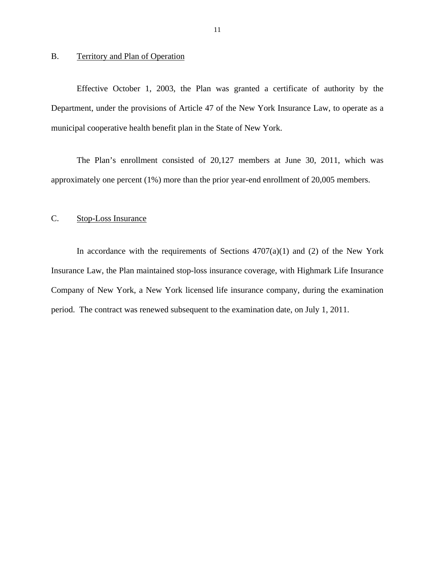### <span id="page-12-0"></span>B. Territory and Plan of Operation

Effective October 1, 2003, the Plan was granted a certificate of authority by the Department, under the provisions of Article 47 of the New York Insurance Law, to operate as a municipal cooperative health benefit plan in the State of New York.

The Plan's enrollment consisted of 20,127 members at June 30, 2011, which was approximately one percent (1%) more than the prior year-end enrollment of 20,005 members.

#### C. Stop-Loss Insurance

In accordance with the requirements of Sections  $4707(a)(1)$  and (2) of the New York Insurance Law, the Plan maintained stop-loss insurance coverage, with Highmark Life Insurance Company of New York, a New York licensed life insurance company, during the examination period. The contract was renewed subsequent to the examination date, on July 1, 2011.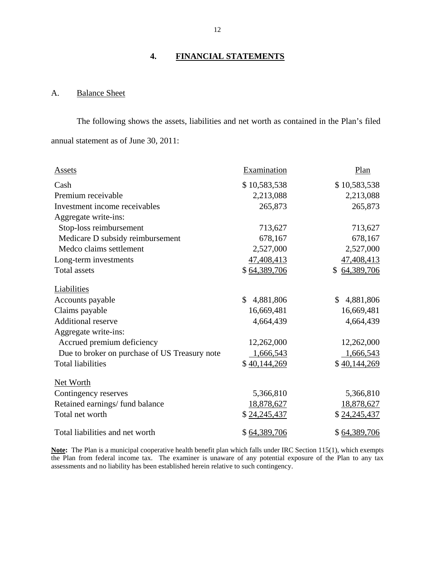# **4. FINANCIAL STATEMENTS**

# A. Balance Sheet

The following shows the assets, liabilities and net worth as contained in the Plan's filed annual statement as of June 30, 2011:

| <b>Assets</b>                                 | Examination               | Plan            |
|-----------------------------------------------|---------------------------|-----------------|
| Cash                                          | \$10,583,538              | \$10,583,538    |
| Premium receivable                            | 2,213,088                 | 2,213,088       |
| Investment income receivables                 | 265,873                   | 265,873         |
| Aggregate write-ins:                          |                           |                 |
| Stop-loss reimbursement                       | 713,627                   | 713,627         |
| Medicare D subsidy reimbursement              | 678,167                   | 678,167         |
| Medco claims settlement                       | 2,527,000                 | 2,527,000       |
| Long-term investments                         | 47,408,413                | 47,408,413      |
| <b>Total assets</b>                           | \$64,389,706              | \$64,389,706    |
| Liabilities                                   |                           |                 |
| Accounts payable                              | $\mathbb{S}$<br>4,881,806 | 4,881,806<br>\$ |
| Claims payable                                | 16,669,481                | 16,669,481      |
| <b>Additional reserve</b>                     | 4,664,439                 | 4,664,439       |
| Aggregate write-ins:                          |                           |                 |
| Accrued premium deficiency                    | 12,262,000                | 12,262,000      |
| Due to broker on purchase of US Treasury note | 1,666,543                 | 1,666,543       |
| <b>Total liabilities</b>                      | \$40,144,269              | \$40,144,269    |
| <b>Net Worth</b>                              |                           |                 |
| Contingency reserves                          | 5,366,810                 | 5,366,810       |
| Retained earnings/fund balance                | 18,878,627                | 18,878,627      |
| Total net worth                               | \$24,245,437              | \$24,245,437    |
| Total liabilities and net worth               | \$64,389,706              | \$64,389,706    |

 **Note:** The Plan is a municipal cooperative health benefit plan which falls under IRC Section 115(1), which exempts the Plan from federal income tax. The examiner is unaware of any potential exposure of the Plan to any tax assessments and no liability has been established herein relative to such contingency.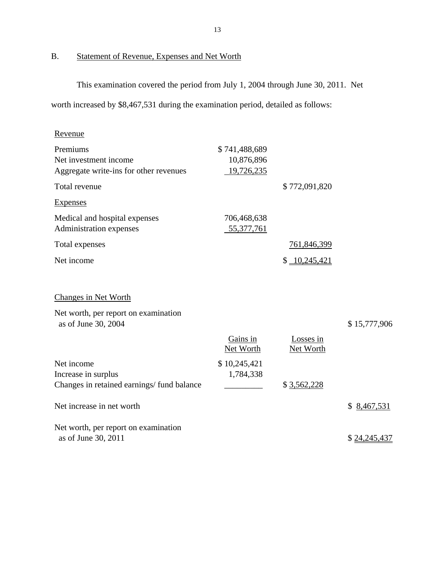# B. Statement of Revenue, Expenses and Net Worth

This examination covered the period from July 1, 2004 through June 30, 2011. Net

worth increased by \$8,467,531 during the examination period, detailed as follows:

| Revenue                                                          |                             |                        |              |
|------------------------------------------------------------------|-----------------------------|------------------------|--------------|
| Premiums<br>Net investment income                                | \$741,488,689<br>10,876,896 |                        |              |
| Aggregate write-ins for other revenues                           | 19,726,235                  |                        |              |
| Total revenue                                                    |                             | \$772,091,820          |              |
| <b>Expenses</b>                                                  |                             |                        |              |
| Medical and hospital expenses<br>Administration expenses         | 706,468,638<br>55,377,761   |                        |              |
| Total expenses                                                   |                             | 761,846,399            |              |
| Net income                                                       |                             | \$10,245,421           |              |
|                                                                  |                             |                        |              |
| Changes in Net Worth                                             |                             |                        |              |
| Net worth, per report on examination<br>as of June 30, 2004      |                             |                        | \$15,777,906 |
|                                                                  | Gains in<br>Net Worth       | Losses in<br>Net Worth |              |
| Net income                                                       | \$10,245,421                |                        |              |
| Increase in surplus<br>Changes in retained earnings/fund balance | 1,784,338                   | \$3,562,228            |              |
| Net increase in net worth                                        |                             |                        | \$8,467,531  |
| Net worth, per report on examination<br>as of June 30, 2011      |                             |                        | \$24,245,437 |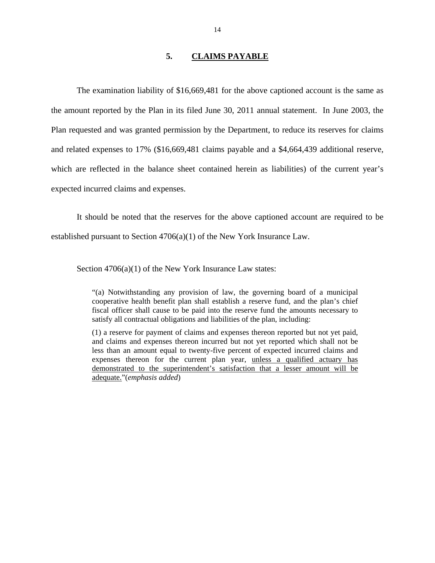## **5. CLAIMS PAYABLE**

<span id="page-15-0"></span>The examination liability of \$16,669,481 for the above captioned account is the same as the amount reported by the Plan in its filed June 30, 2011 annual statement. In June 2003, the Plan requested and was granted permission by the Department, to reduce its reserves for claims and related expenses to 17% (\$16,669,481 claims payable and a \$4,664,439 additional reserve, which are reflected in the balance sheet contained herein as liabilities) of the current year's expected incurred claims and expenses.

It should be noted that the reserves for the above captioned account are required to be established pursuant to Section 4706(a)(1) of the New York Insurance Law.

Section  $4706(a)(1)$  of the New York Insurance Law states:

"(a) Notwithstanding any provision of law, the governing board of a municipal cooperative health benefit plan shall establish a reserve fund, and the plan's chief fiscal officer shall cause to be paid into the reserve fund the amounts necessary to satisfy all contractual obligations and liabilities of the plan, including:

expenses thereon for the current plan year, unless a qualified actuary has (1) a reserve for payment of claims and expenses thereon reported but not yet paid, and claims and expenses thereon incurred but not yet reported which shall not be less than an amount equal to twenty-five percent of expected incurred claims and demonstrated to the superintendent's satisfaction that a lesser amount will be adequate."(*emphasis added*)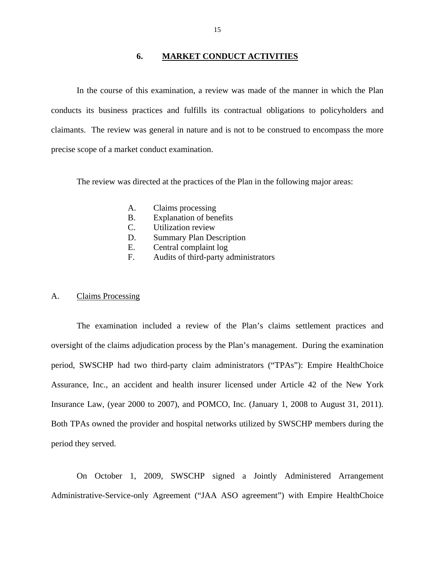#### **6. MARKET CONDUCT ACTIVITIES**

<span id="page-16-0"></span>In the course of this examination, a review was made of the manner in which the Plan conducts its business practices and fulfills its contractual obligations to policyholders and claimants. The review was general in nature and is not to be construed to encompass the more precise scope of a market conduct examination.

The review was directed at the practices of the Plan in the following major areas:

- A. Claims processing
- B. Explanation of benefits
- C. Utilization review
- D. Summary Plan Description
- E. Central complaint log
- F. Audits of third-party administrators

#### A. Claims Processing

The examination included a review of the Plan's claims settlement practices and oversight of the claims adjudication process by the Plan's management. During the examination period, SWSCHP had two third-party claim administrators ("TPAs"): Empire HealthChoice Assurance, Inc., an accident and health insurer licensed under Article 42 of the New York Insurance Law, (year 2000 to 2007), and POMCO, Inc. (January 1, 2008 to August 31, 2011). Both TPAs owned the provider and hospital networks utilized by SWSCHP members during the period they served.

On October 1, 2009, SWSCHP signed a Jointly Administered Arrangement Administrative-Service-only Agreement ("JAA ASO agreement") with Empire HealthChoice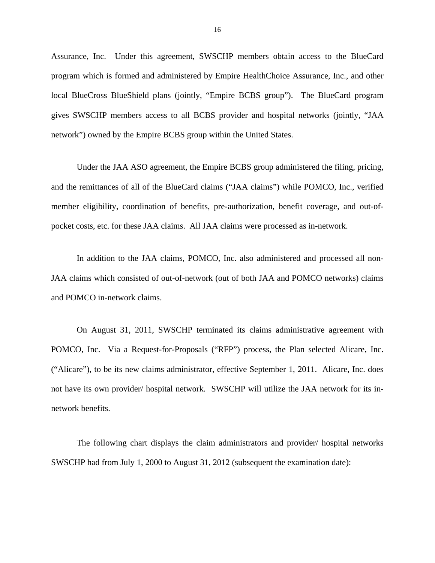Assurance, Inc. Under this agreement, SWSCHP members obtain access to the BlueCard program which is formed and administered by Empire HealthChoice Assurance, Inc., and other local BlueCross BlueShield plans (jointly, "Empire BCBS group"). The BlueCard program gives SWSCHP members access to all BCBS provider and hospital networks (jointly, "JAA network") owned by the Empire BCBS group within the United States.

Under the JAA ASO agreement, the Empire BCBS group administered the filing, pricing, and the remittances of all of the BlueCard claims ("JAA claims") while POMCO, Inc., verified member eligibility, coordination of benefits, pre-authorization, benefit coverage, and out-ofpocket costs, etc. for these JAA claims. All JAA claims were processed as in-network.

In addition to the JAA claims, POMCO, Inc. also administered and processed all non-JAA claims which consisted of out-of-network (out of both JAA and POMCO networks) claims and POMCO in-network claims.

On August 31, 2011, SWSCHP terminated its claims administrative agreement with POMCO, Inc. Via a Request-for-Proposals ("RFP") process, the Plan selected Alicare, Inc. ("Alicare"), to be its new claims administrator, effective September 1, 2011. Alicare, Inc. does not have its own provider/ hospital network. SWSCHP will utilize the JAA network for its innetwork benefits.

The following chart displays the claim administrators and provider/ hospital networks SWSCHP had from July 1, 2000 to August 31, 2012 (subsequent the examination date):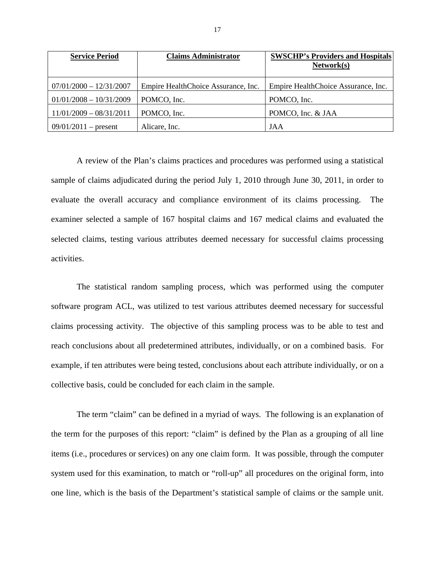| <b>Service Period</b>     | <b>Claims Administrator</b>         | <b>SWSCHP's Providers and Hospitals</b> |
|---------------------------|-------------------------------------|-----------------------------------------|
|                           |                                     | Network(s)                              |
|                           |                                     |                                         |
| $07/01/2000 - 12/31/2007$ | Empire HealthChoice Assurance, Inc. | Empire HealthChoice Assurance, Inc.     |
| $01/01/2008 - 10/31/2009$ | POMCO, Inc.                         | POMCO, Inc.                             |
| $11/01/2009 - 08/31/2011$ | POMCO, Inc.                         | POMCO, Inc. & JAA                       |
| $09/01/2011$ – present    | Alicare, Inc.                       | JAA                                     |

A review of the Plan's claims practices and procedures was performed using a statistical sample of claims adjudicated during the period July 1, 2010 through June 30, 2011, in order to evaluate the overall accuracy and compliance environment of its claims processing. The examiner selected a sample of 167 hospital claims and 167 medical claims and evaluated the selected claims, testing various attributes deemed necessary for successful claims processing activities.

The statistical random sampling process, which was performed using the computer software program ACL, was utilized to test various attributes deemed necessary for successful claims processing activity. The objective of this sampling process was to be able to test and reach conclusions about all predetermined attributes, individually, or on a combined basis. For example, if ten attributes were being tested, conclusions about each attribute individually, or on a collective basis, could be concluded for each claim in the sample.

The term "claim" can be defined in a myriad of ways. The following is an explanation of the term for the purposes of this report: "claim" is defined by the Plan as a grouping of all line items (i.e., procedures or services) on any one claim form. It was possible, through the computer system used for this examination, to match or "roll-up" all procedures on the original form, into one line, which is the basis of the Department's statistical sample of claims or the sample unit.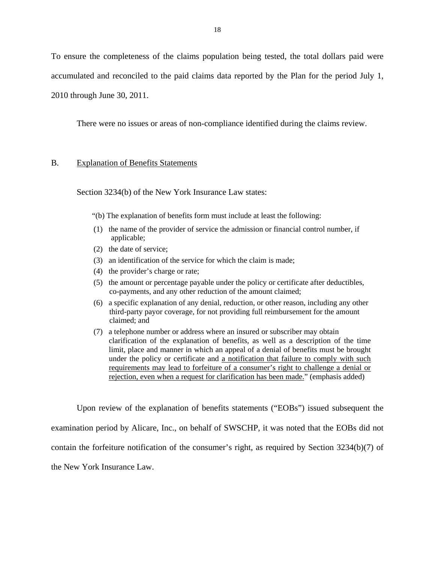<span id="page-19-0"></span>To ensure the completeness of the claims population being tested, the total dollars paid were accumulated and reconciled to the paid claims data reported by the Plan for the period July 1, 2010 through June 30, 2011.

There were no issues or areas of non-compliance identified during the claims review.

#### B. Explanation of Benefits Statements

Section 3234(b) of the New York Insurance Law states:

- "(b) The explanation of benefits form must include at least the following:
- (1) the name of the provider of service the admission or financial control number, if applicable;
- (2) the date of service;
- (3) an identification of the service for which the claim is made;
- (4) the provider's charge or rate;
- (5) the amount or percentage payable under the policy or certificate after deductibles, co-payments, and any other reduction of the amount claimed;
- (6) a specific explanation of any denial, reduction, or other reason, including any other third-party payor coverage, for not providing full reimbursement for the amount claimed; and
- (7) a telephone number or address where an insured or subscriber may obtain clarification of the explanation of benefits, as well as a description of the time limit, place and manner in which an appeal of a denial of benefits must be brought under the policy or certificate and a notification that failure to comply with such requirements may lead to forfeiture of a consumer's right to challenge a denial or rejection, even when a request for clarification has been made." (emphasis added)

Upon review of the explanation of benefits statements ("EOBs") issued subsequent the examination period by Alicare, Inc., on behalf of SWSCHP, it was noted that the EOBs did not contain the forfeiture notification of the consumer's right, as required by Section 3234(b)(7) of the New York Insurance Law.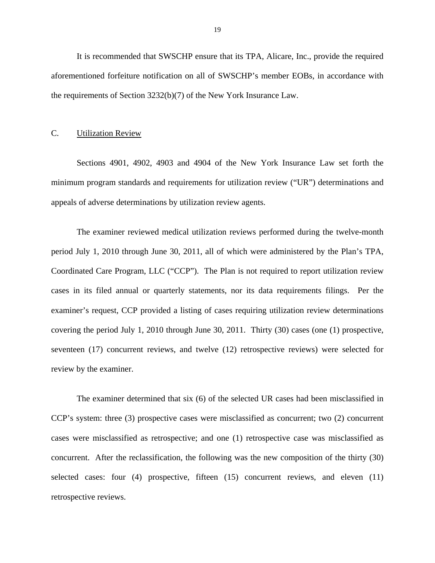<span id="page-20-0"></span>It is recommended that SWSCHP ensure that its TPA, Alicare, Inc., provide the required aforementioned forfeiture notification on all of SWSCHP's member EOBs, in accordance with the requirements of Section 3232(b)(7) of the New York Insurance Law.

#### C. Utilization Review

Sections 4901, 4902, 4903 and 4904 of the New York Insurance Law set forth the minimum program standards and requirements for utilization review ("UR") determinations and appeals of adverse determinations by utilization review agents.

The examiner reviewed medical utilization reviews performed during the twelve-month period July 1, 2010 through June 30, 2011, all of which were administered by the Plan's TPA, Coordinated Care Program, LLC ("CCP"). The Plan is not required to report utilization review cases in its filed annual or quarterly statements, nor its data requirements filings. Per the examiner's request, CCP provided a listing of cases requiring utilization review determinations covering the period July 1, 2010 through June 30, 2011. Thirty (30) cases (one (1) prospective, seventeen (17) concurrent reviews, and twelve (12) retrospective reviews) were selected for review by the examiner.

The examiner determined that six (6) of the selected UR cases had been misclassified in CCP's system: three (3) prospective cases were misclassified as concurrent; two (2) concurrent cases were misclassified as retrospective; and one (1) retrospective case was misclassified as concurrent. After the reclassification, the following was the new composition of the thirty (30) selected cases: four (4) prospective, fifteen (15) concurrent reviews, and eleven (11) retrospective reviews.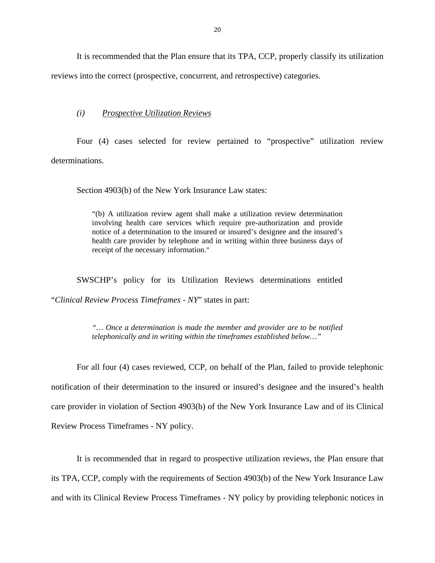It is recommended that the Plan ensure that its TPA, CCP, properly classify its utilization reviews into the correct (prospective, concurrent, and retrospective) categories.

#### *(i) Prospective Utilization Reviews*

Four (4) cases selected for review pertained to "prospective" utilization review determinations.

Section 4903(b) of the New York Insurance Law states:

"(b) A utilization review agent shall make a utilization review determination involving health care services which require pre-authorization and provide notice of a determination to the insured or insured's designee and the insured's health care provider by telephone and in writing within three business days of receipt of the necessary information."

SWSCHP's policy for its Utilization Reviews determinations entitled "*Clinical Review Process Timeframes - NY*" states in part:

> *"… Once a determination is made the member and provider are to be notified telephonically and in writing within the timeframes established below…"*

For all four (4) cases reviewed, CCP, on behalf of the Plan, failed to provide telephonic notification of their determination to the insured or insured's designee and the insured's health care provider in violation of Section 4903(b) of the New York Insurance Law and of its Clinical Review Process Timeframes *-* NY policy.

It is recommended that in regard to prospective utilization reviews, the Plan ensure that its TPA, CCP, comply with the requirements of Section 4903(b) of the New York Insurance Law and with its Clinical Review Process Timeframes *-* NY policy by providing telephonic notices in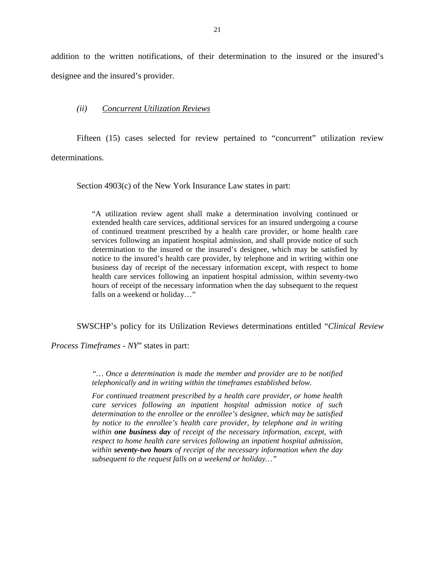addition to the written notifications, of their determination to the insured or the insured's designee and the insured's provider.

#### *(ii) Concurrent Utilization Reviews*

Fifteen (15) cases selected for review pertained to "concurrent" utilization review determinations.

Section 4903(c) of the New York Insurance Law states in part:

"A utilization review agent shall make a determination involving continued or extended health care services, additional services for an insured undergoing a course of continued treatment prescribed by a health care provider, or home health care services following an inpatient hospital admission, and shall provide notice of such determination to the insured or the insured's designee, which may be satisfied by notice to the insured's health care provider, by telephone and in writing within one business day of receipt of the necessary information except, with respect to home health care services following an inpatient hospital admission, within seventy-two hours of receipt of the necessary information when the day subsequent to the request falls on a weekend or holiday…"

SWSCHP's policy for its Utilization Reviews determinations entitled "*Clinical Review* 

*Process Timeframes - NY*" states in part:

*"… Once a determination is made the member and provider are to be notified telephonically and in writing within the timeframes established below.* 

*For continued treatment prescribed by a health care provider, or home health care services following an inpatient hospital admission notice of such determination to the enrollee or the enrollee's designee, which may be satisfied by notice to the enrollee's health care provider, by telephone and in writing within one business day of receipt of the necessary information, except, with respect to home health care services following an inpatient hospital admission, within seventy-two hours of receipt of the necessary information when the day subsequent to the request falls on a weekend or holiday…"*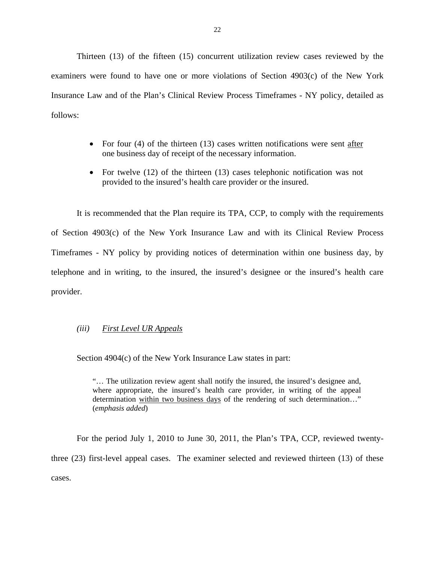Thirteen (13) of the fifteen (15) concurrent utilization review cases reviewed by the examiners were found to have one or more violations of Section 4903(c) of the New York Insurance Law and of the Plan's Clinical Review Process Timeframes *-* NY policy, detailed as follows:

- For four  $(4)$  of the thirteen  $(13)$  cases written notifications were sent after one business day of receipt of the necessary information.
- For twelve (12) of the thirteen (13) cases telephonic notification was not provided to the insured's health care provider or the insured.

It is recommended that the Plan require its TPA, CCP, to comply with the requirements of Section 4903(c) of the New York Insurance Law and with its Clinical Review Process Timeframes *-* NY policy by providing notices of determination within one business day, by telephone and in writing, to the insured, the insured's designee or the insured's health care provider.

### *(iii) First Level UR Appeals*

Section 4904(c) of the New York Insurance Law states in part:

"… The utilization review agent shall notify the insured, the insured's designee and, where appropriate, the insured's health care provider, in writing of the appeal determination within two business days of the rendering of such determination…" (*emphasis added*)

For the period July 1, 2010 to June 30, 2011, the Plan's TPA, CCP, reviewed twentythree (23) first-level appeal cases. The examiner selected and reviewed thirteen (13) of these cases.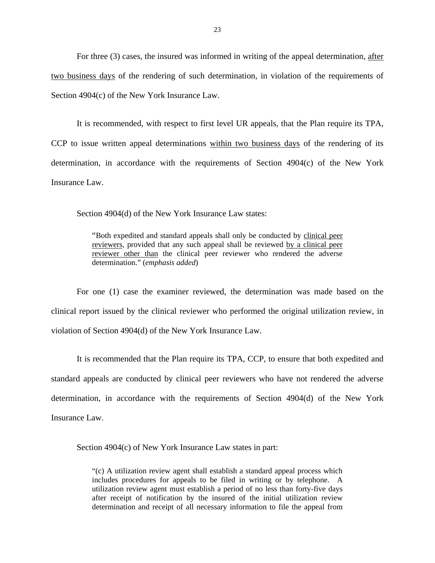For three (3) cases, the insured was informed in writing of the appeal determination, after two business days of the rendering of such determination, in violation of the requirements of Section 4904(c) of the New York Insurance Law.

It is recommended, with respect to first level UR appeals, that the Plan require its TPA, CCP to issue written appeal determinations within two business days of the rendering of its determination, in accordance with the requirements of Section 4904(c) of the New York Insurance Law.

Section 4904(d) of the New York Insurance Law states:

"Both expedited and standard appeals shall only be conducted by clinical peer reviewers, provided that any such appeal shall be reviewed by a clinical peer reviewer other than the clinical peer reviewer who rendered the adverse determination." (*emphasis added*)

For one (1) case the examiner reviewed, the determination was made based on the clinical report issued by the clinical reviewer who performed the original utilization review, in violation of Section 4904(d) of the New York Insurance Law.

It is recommended that the Plan require its TPA, CCP, to ensure that both expedited and standard appeals are conducted by clinical peer reviewers who have not rendered the adverse determination, in accordance with the requirements of Section 4904(d) of the New York Insurance Law.

Section 4904(c) of New York Insurance Law states in part:

"(c) A utilization review agent shall establish a standard appeal process which includes procedures for appeals to be filed in writing or by telephone. A utilization review agent must establish a period of no less than forty-five days after receipt of notification by the insured of the initial utilization review determination and receipt of all necessary information to file the appeal from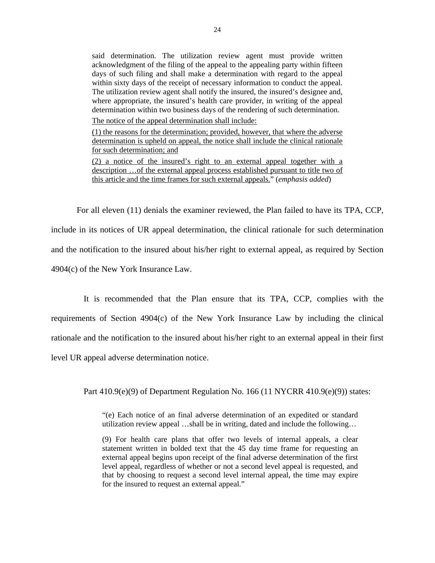said determination. The utilization review agent must provide written acknowledgment of the filing of the appeal to the appealing party within fifteen days of such filing and shall make a determination with regard to the appeal within sixty days of the receipt of necessary information to conduct the appeal. The utilization review agent shall notify the insured, the insured's designee and, where appropriate, the insured's health care provider, in writing of the appeal determination within two business days of the rendering of such determination.

The notice of the appeal determination shall include:

(1) the reasons for the determination; provided, however, that where the adverse determination is upheld on appeal, the notice shall include the clinical rationale for such determination; and

(2) a notice of the insured's right to an external appeal together with a description …of the external appeal process established pursuant to title two of this article and the time frames for such external appeals." (*emphasis added*)

For all eleven (11) denials the examiner reviewed, the Plan failed to have its TPA, CCP, include in its notices of UR appeal determination, the clinical rationale for such determination and the notification to the insured about his/her right to external appeal, as required by Section 4904(c) of the New York Insurance Law.

It is recommended that the Plan ensure that its TPA, CCP, complies with the requirements of Section 4904(c) of the New York Insurance Law by including the clinical rationale and the notification to the insured about his/her right to an external appeal in their first level UR appeal adverse determination notice.

Part 410.9(e)(9) of Department Regulation No. 166 (11 NYCRR 410.9(e)(9)) states:

"(e) Each notice of an final adverse determination of an expedited or standard utilization review appeal …shall be in writing, dated and include the following…

(9) For health care plans that offer two levels of internal appeals, a clear statement written in bolded text that the 45 day time frame for requesting an external appeal begins upon receipt of the final adverse determination of the first level appeal, regardless of whether or not a second level appeal is requested, and that by choosing to request a second level internal appeal, the time may expire for the insured to request an external appeal."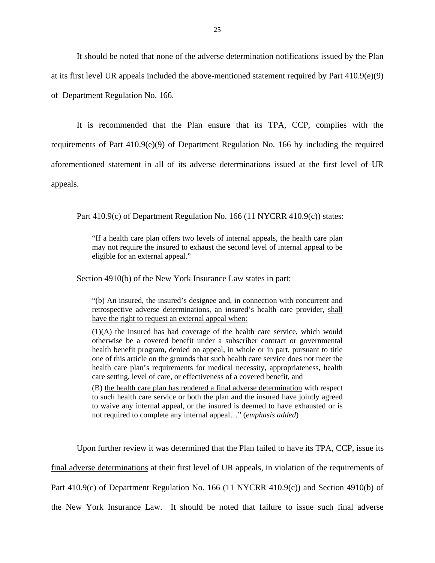It should be noted that none of the adverse determination notifications issued by the Plan at its first level UR appeals included the above-mentioned statement required by Part 410.9(e)(9) of Department Regulation No. 166.

It is recommended that the Plan ensure that its TPA, CCP, complies with the requirements of Part 410.9(e)(9) of Department Regulation No. 166 by including the required aforementioned statement in all of its adverse determinations issued at the first level of UR appeals.

Part 410.9(c) of Department Regulation No. 166 (11 NYCRR 410.9(c)) states:

"If a health care plan offers two levels of internal appeals, the health care plan may not require the insured to exhaust the second level of internal appeal to be eligible for an external appeal."

Section 4910(b) of the New York Insurance Law states in part:

"(b) An insured, the insured's designee and, in connection with concurrent and retrospective adverse determinations, an insured's health care provider, shall have the right to request an external appeal when:

(1)(A) the insured has had coverage of the health care service, which would otherwise be a covered benefit under a subscriber contract or governmental health benefit program, denied on appeal, in whole or in part, pursuant to title one of this article on the grounds that such health care service does not meet the health care plan's requirements for medical necessity, appropriateness, health care setting, level of care, or effectiveness of a covered benefit, and

(B) the health care plan has rendered a final adverse determination with respect to such health care service or both the plan and the insured have jointly agreed to waive any internal appeal, or the insured is deemed to have exhausted or is not required to complete any internal appeal…" (*emphasis added*)

Upon further review it was determined that the Plan failed to have its TPA, CCP, issue its final adverse determinations at their first level of UR appeals, in violation of the requirements of Part 410.9(c) of Department Regulation No. 166 (11 NYCRR 410.9(c)) and Section 4910(b) of the New York Insurance Law. It should be noted that failure to issue such final adverse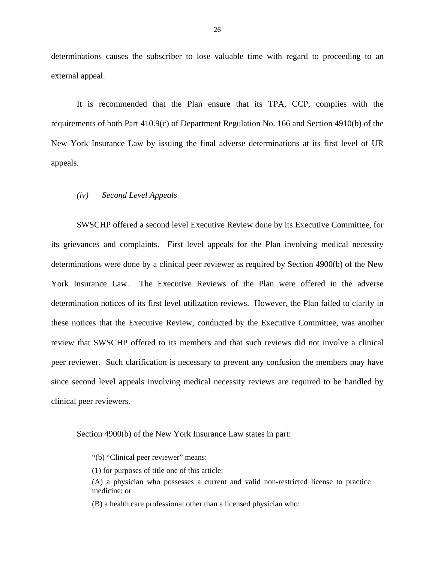determinations causes the subscriber to lose valuable time with regard to proceeding to an external appeal.

It is recommended that the Plan ensure that its TPA, CCP, complies with the requirements of both Part 410.9(c) of Department Regulation No. 166 and Section 4910(b) of the New York Insurance Law by issuing the final adverse determinations at its first level of UR appeals.

## *(iv) Second Level Appeals*

SWSCHP offered a second level Executive Review done by its Executive Committee, for its grievances and complaints. First level appeals for the Plan involving medical necessity determinations were done by a clinical peer reviewer as required by Section 4900(b) of the New York Insurance Law. The Executive Reviews of the Plan were offered in the adverse determination notices of its first level utilization reviews. However, the Plan failed to clarify in these notices that the Executive Review, conducted by the Executive Committee, was another review that SWSCHP offered to its members and that such reviews did not involve a clinical peer reviewer. Such clarification is necessary to prevent any confusion the members may have since second level appeals involving medical necessity reviews are required to be handled by clinical peer reviewers.

Section 4900(b) of the New York Insurance Law states in part:

"(b) "Clinical peer reviewer" means:

(1) for purposes of title one of this article:

(A) a physician who possesses a current and valid non-restricted license to practice medicine; or

(B) a health care professional other than a licensed physician who: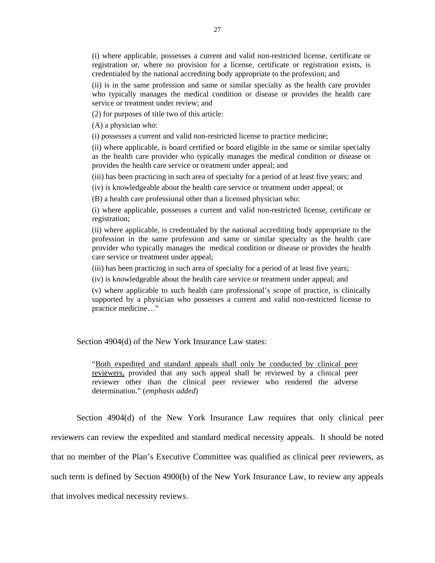(i) where applicable, possesses a current and valid non-restricted license, certificate or registration or, where no provision for a license, certificate or registration exists, is credentialed by the national accrediting body appropriate to the profession; and

(ii) is in the same profession and same or similar specialty as the health care provider who typically manages the medical condition or disease or provides the health care service or treatment under review; and

(2) for purposes of title two of this article:

(A) a physician who:

(i) possesses a current and valid non-restricted license to practice medicine;

(ii) where applicable, is board certified or board eligible in the same or similar specialty as the health care provider who typically manages the medical condition or disease or provides the health care service or treatment under appeal; and

(iii) has been practicing in such area of specialty for a period of at least five years; and

(iv) is knowledgeable about the health care service or treatment under appeal; or

(B) a health care professional other than a licensed physician who:

(i) where applicable, possesses a current and valid non-restricted license, certificate or registration;

(ii) where applicable, is credentialed by the national accrediting body appropriate to the profession in the same profession and same or similar specialty as the health care provider who typically manages the medical condition or disease or provides the health care service or treatment under appeal;

(iii) has been practicing in such area of specialty for a period of at least five years;

(iv) is knowledgeable about the health care service or treatment under appeal; and

(v) where applicable to such health care professional's scope of practice, is clinically supported by a physician who possesses a current and valid non-restricted license to practice medicine…"

Section 4904(d) of the New York Insurance Law states:

"Both expedited and standard appeals shall only be conducted by clinical peer reviewers, provided that any such appeal shall be reviewed by a clinical peer reviewer other than the clinical peer reviewer who rendered the adverse determination." (*emphasis added*)

Section 4904(d) of the New York Insurance Law requires that only clinical peer reviewers can review the expedited and standard medical necessity appeals. It should be noted that no member of the Plan's Executive Committee was qualified as clinical peer reviewers, as such term is defined by Section 4900(b) of the New York Insurance Law, to review any appeals that involves medical necessity reviews.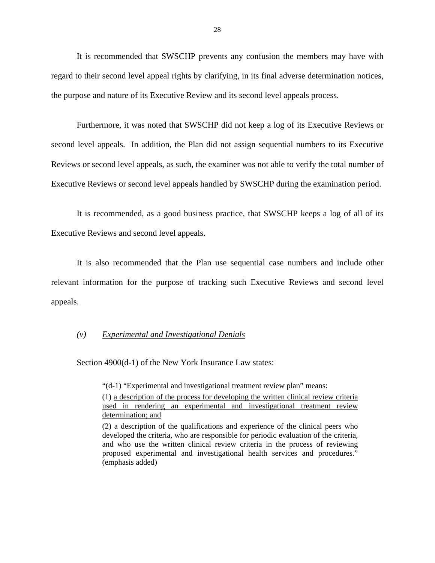It is recommended that SWSCHP prevents any confusion the members may have with regard to their second level appeal rights by clarifying, in its final adverse determination notices, the purpose and nature of its Executive Review and its second level appeals process.

Furthermore, it was noted that SWSCHP did not keep a log of its Executive Reviews or second level appeals. In addition, the Plan did not assign sequential numbers to its Executive Reviews or second level appeals, as such, the examiner was not able to verify the total number of Executive Reviews or second level appeals handled by SWSCHP during the examination period.

It is recommended, as a good business practice, that SWSCHP keeps a log of all of its Executive Reviews and second level appeals.

It is also recommended that the Plan use sequential case numbers and include other relevant information for the purpose of tracking such Executive Reviews and second level appeals.

#### *(v) Experimental and Investigational Denials*

Section 4900(d-1) of the New York Insurance Law states:

"(d-1) "Experimental and investigational treatment review plan" means:

(1) a description of the process for developing the written clinical review criteria used in rendering an experimental and investigational treatment review determination; and

<sup>(2)</sup> a description of the qualifications and experience of the clinical peers who developed the criteria, who are responsible for periodic evaluation of the criteria, and who use the written clinical review criteria in the process of reviewing proposed experimental and investigational health services and procedures." (emphasis added)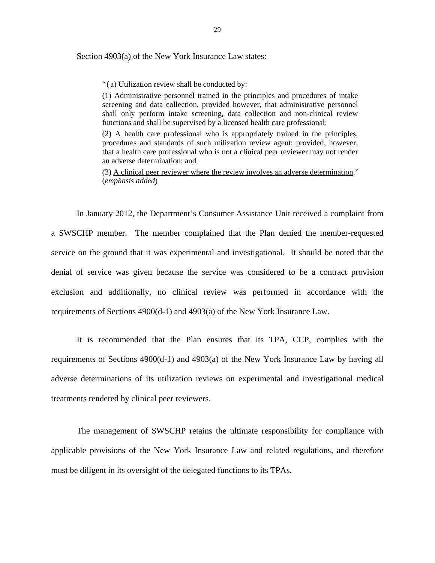Section 4903(a) of the New York Insurance Law states:

"(a) Utilization review shall be conducted by:

(1) Administrative personnel trained in the principles and procedures of intake screening and data collection, provided however, that administrative personnel shall only perform intake screening, data collection and non-clinical review functions and shall be supervised by a licensed health care professional;

(2) A health care professional who is appropriately trained in the principles, procedures and standards of such utilization review agent; provided, however, that a health care professional who is not a clinical peer reviewer may not render an adverse determination; and

(3) A clinical peer reviewer where the review involves an adverse determination." (*emphasis added*)

In January 2012, the Department's Consumer Assistance Unit received a complaint from a SWSCHP member. The member complained that the Plan denied the member-requested service on the ground that it was experimental and investigational. It should be noted that the denial of service was given because the service was considered to be a contract provision exclusion and additionally, no clinical review was performed in accordance with the requirements of Sections 4900(d-1) and 4903(a) of the New York Insurance Law.

It is recommended that the Plan ensures that its TPA, CCP, complies with the requirements of Sections 4900(d-1) and 4903(a) of the New York Insurance Law by having all adverse determinations of its utilization reviews on experimental and investigational medical treatments rendered by clinical peer reviewers.

The management of SWSCHP retains the ultimate responsibility for compliance with applicable provisions of the New York Insurance Law and related regulations, and therefore must be diligent in its oversight of the delegated functions to its TPAs.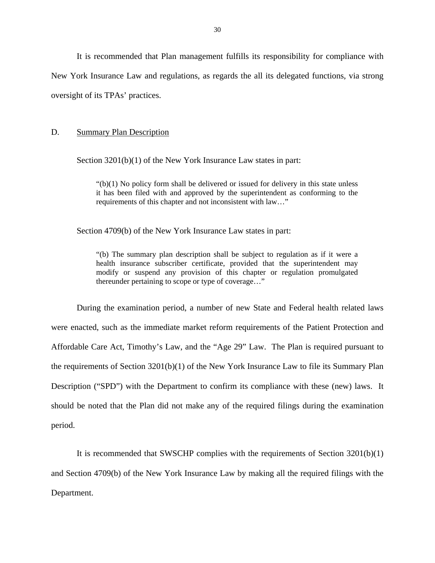<span id="page-31-0"></span>It is recommended that Plan management fulfills its responsibility for compliance with New York Insurance Law and regulations, as regards the all its delegated functions, via strong oversight of its TPAs' practices.

#### D. Summary Plan Description

Section 3201(b)(1) of the New York Insurance Law states in part:

" $(b)(1)$  No policy form shall be delivered or issued for delivery in this state unless it has been filed with and approved by the superintendent as conforming to the requirements of this chapter and not inconsistent with law…"

Section 4709(b) of the New York Insurance Law states in part:

"(b) The summary plan description shall be subject to regulation as if it were a health insurance subscriber certificate, provided that the superintendent may modify or suspend any provision of this chapter or regulation promulgated thereunder pertaining to scope or type of coverage…"

During the examination period, a number of new State and Federal health related laws were enacted, such as the immediate market reform requirements of the Patient Protection and Affordable Care Act, Timothy's Law, and the "Age 29" Law. The Plan is required pursuant to the requirements of Section 3201(b)(1) of the New York Insurance Law to file its Summary Plan Description ("SPD") with the Department to confirm its compliance with these (new) laws. It should be noted that the Plan did not make any of the required filings during the examination period.

It is recommended that SWSCHP complies with the requirements of Section 3201(b)(1) and Section 4709(b) of the New York Insurance Law by making all the required filings with the Department.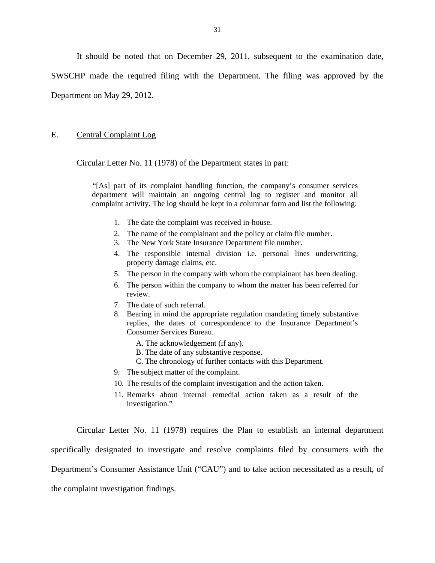<span id="page-32-0"></span>It should be noted that on December 29, 2011, subsequent to the examination date, SWSCHP made the required filing with the Department. The filing was approved by the Department on May 29, 2012.

## E. Central Complaint Log

Circular Letter No. 11 (1978) of the Department states in part:

"[As] part of its complaint handling function, the company's consumer services department will maintain an ongoing central log to register and monitor all complaint activity. The log should be kept in a columnar form and list the following:

- 1. The date the complaint was received in-house.
- 2. The name of the complainant and the policy or claim file number.
- 3. The New York State Insurance Department file number.
- 4. The responsible internal division i.e. personal lines underwriting, property damage claims, etc.
- 5. The person in the company with whom the complainant has been dealing.
- 6. The person within the company to whom the matter has been referred for review.
- 7. The date of such referral.
- 8. Bearing in mind the appropriate regulation mandating timely substantive replies, the dates of correspondence to the Insurance Department's Consumer Services Bureau.
	- A. The acknowledgement (if any).
	- B. The date of any substantive response.
	- C. The chronology of further contacts with this Department.
- 9. The subject matter of the complaint.
- 10. The results of the complaint investigation and the action taken.
- 11. Remarks about internal remedial action taken as a result of the investigation."

Circular Letter No. 11 (1978) requires the Plan to establish an internal department specifically designated to investigate and resolve complaints filed by consumers with the Department's Consumer Assistance Unit ("CAU") and to take action necessitated as a result, of the complaint investigation findings.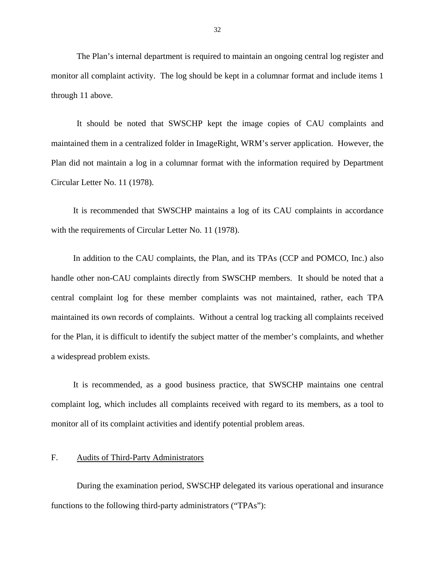<span id="page-33-0"></span>The Plan's internal department is required to maintain an ongoing central log register and monitor all complaint activity. The log should be kept in a columnar format and include items 1 through 11 above.

It should be noted that SWSCHP kept the image copies of CAU complaints and maintained them in a centralized folder in ImageRight, WRM's server application. However, the Plan did not maintain a log in a columnar format with the information required by Department Circular Letter No. 11 (1978).

It is recommended that SWSCHP maintains a log of its CAU complaints in accordance with the requirements of Circular Letter No. 11 (1978).

In addition to the CAU complaints, the Plan, and its TPAs (CCP and POMCO, Inc.) also handle other non-CAU complaints directly from SWSCHP members. It should be noted that a central complaint log for these member complaints was not maintained, rather, each TPA maintained its own records of complaints. Without a central log tracking all complaints received for the Plan, it is difficult to identify the subject matter of the member's complaints, and whether a widespread problem exists.

It is recommended, as a good business practice, that SWSCHP maintains one central complaint log, which includes all complaints received with regard to its members, as a tool to monitor all of its complaint activities and identify potential problem areas.

## F. Audits of Third-Party Administrators

During the examination period, SWSCHP delegated its various operational and insurance functions to the following third-party administrators ("TPAs"):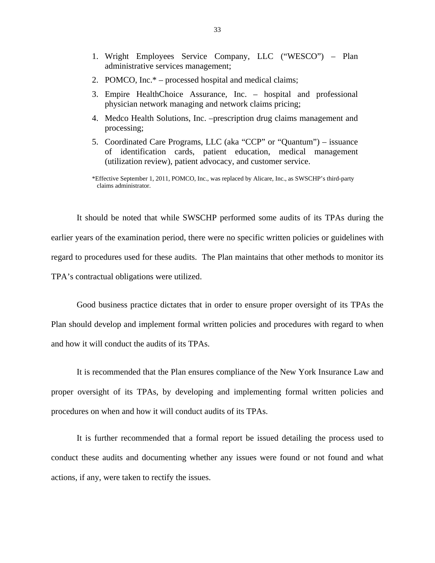- 1. Wright Employees Service Company, LLC ("WESCO") Plan administrative services management;
- 2. POMCO, Inc.\* processed hospital and medical claims;
- 3. Empire HealthChoice Assurance, Inc. hospital and professional physician network managing and network claims pricing;
- 4. Medco Health Solutions, Inc. –prescription drug claims management and processing;
- 5. Coordinated Care Programs, LLC (aka "CCP" or "Quantum") issuance of identification cards, patient education, medical management (utilization review), patient advocacy, and customer service.

 \*Effective September 1, 2011, POMCO, Inc., was replaced by Alicare, Inc., as SWSCHP's third-party claims administrator.

It should be noted that while SWSCHP performed some audits of its TPAs during the earlier years of the examination period, there were no specific written policies or guidelines with regard to procedures used for these audits. The Plan maintains that other methods to monitor its TPA's contractual obligations were utilized.

Good business practice dictates that in order to ensure proper oversight of its TPAs the Plan should develop and implement formal written policies and procedures with regard to when and how it will conduct the audits of its TPAs.

It is recommended that the Plan ensures compliance of the New York Insurance Law and proper oversight of its TPAs, by developing and implementing formal written policies and procedures on when and how it will conduct audits of its TPAs.

It is further recommended that a formal report be issued detailing the process used to conduct these audits and documenting whether any issues were found or not found and what actions, if any, were taken to rectify the issues.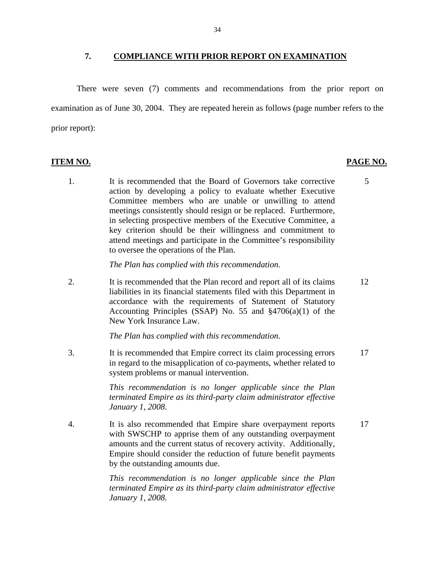#### <span id="page-35-0"></span>**7. COMPLIANCE WITH PRIOR REPORT ON EXAMINATION**

There were seven (7) comments and recommendations from the prior report on examination as of June 30, 2004. They are repeated herein as follows (page number refers to the prior report):

- **ITEM NO. PAGE NO.**
	- 1. It is recommended that the Board of Governors take corrective 5 action by developing a policy to evaluate whether Executive Committee members who are unable or unwilling to attend meetings consistently should resign or be replaced. Furthermore, in selecting prospective members of the Executive Committee, a key criterion should be their willingness and commitment to attend meetings and participate in the Committee's responsibility to oversee the operations of the Plan.

*The Plan has complied with this recommendation.* 

2. It is recommended that the Plan record and report all of its claims 12 liabilities in its financial statements filed with this Department in accordance with the requirements of Statement of Statutory Accounting Principles (SSAP) No. 55 and §4706(a)(1) of the New York Insurance Law.

*The Plan has complied with this recommendation.* 

3. It is recommended that Empire correct its claim processing errors 17 in regard to the misapplication of co-payments, whether related to system problems or manual intervention.

> *This recommendation is no longer applicable since the Plan terminated Empire as its third-party claim administrator effective January 1, 2008.*

4. It is also recommended that Empire share overpayment reports 17 with SWSCHP to apprise them of any outstanding overpayment amounts and the current status of recovery activity. Additionally, Empire should consider the reduction of future benefit payments by the outstanding amounts due.

> *This recommendation is no longer applicable since the Plan terminated Empire as its third-party claim administrator effective January 1, 2008.*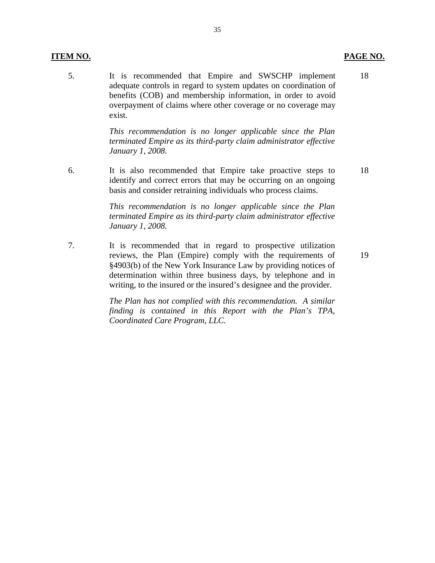#### **ITEM NO. PAGE NO.**

 5. It is recommended that Empire and SWSCHP implement adequate controls in regard to system updates on coordination of benefits (COB) and membership information, in order to avoid overpayment of claims where other coverage or no coverage may exist. 18

> *This recommendation is no longer applicable since the Plan terminated Empire as its third-party claim administrator effective January 1, 2008.*

6. It is also recommended that Empire take proactive steps to identify and correct errors that may be occurring on an ongoing basis and consider retraining individuals who process claims. 18

> *This recommendation is no longer applicable since the Plan terminated Empire as its third-party claim administrator effective January 1, 2008.*

7. It is recommended that in regard to prospective utilization reviews, the Plan (Empire) comply with the requirements of §4903(b) of the New York Insurance Law by providing notices of determination within three business days, by telephone and in writing, to the insured or the insured's designee and the provider.

> *The Plan has not complied with this recommendation. A similar finding is contained in this Report with the Plan's TPA, Coordinated Care Program, LLC.*

19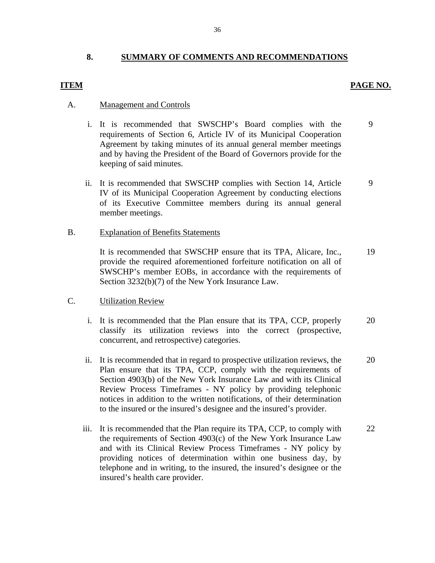## **8. SUMMARY OF COMMENTS AND RECOMMENDATIONS**

#### **ITEM** PAGE NO.

#### A. Management and Controls

- i. It is recommended that SWSCHP's Board complies with the requirements of Section 6, Article IV of its Municipal Cooperation Agreement by taking minutes of its annual general member meetings and by having the President of the Board of Governors provide for the keeping of said minutes. 9
- ii. It is recommended that SWSCHP complies with Section 14, Article IV of its Municipal Cooperation Agreement by conducting elections of its Executive Committee members during its annual general member meetings. 9

#### B. Explanation of Benefits Statements

It is recommended that SWSCHP ensure that its TPA, Alicare, Inc., provide the required aforementioned forfeiture notification on all of SWSCHP's member EOBs, in accordance with the requirements of Section 3232(b)(7) of the New York Insurance Law. 19

### C. Utilization Review

- i. It is recommended that the Plan ensure that its TPA, CCP, properly classify its utilization reviews into the correct (prospective, concurrent, and retrospective) categories. 20
- ii. It is recommended that in regard to prospective utilization reviews, the Plan ensure that its TPA, CCP, comply with the requirements of Section 4903(b) of the New York Insurance Law and with its Clinical Review Process Timeframes - NY policy by providing telephonic notices in addition to the written notifications, of their determination to the insured or the insured's designee and the insured's provider. 20
- iii. It is recommended that the Plan require its TPA, CCP, to comply with the requirements of Section 4903(c) of the New York Insurance Law and with its Clinical Review Process Timeframes - NY policy by providing notices of determination within one business day, by telephone and in writing, to the insured, the insured's designee or the insured's health care provider. 22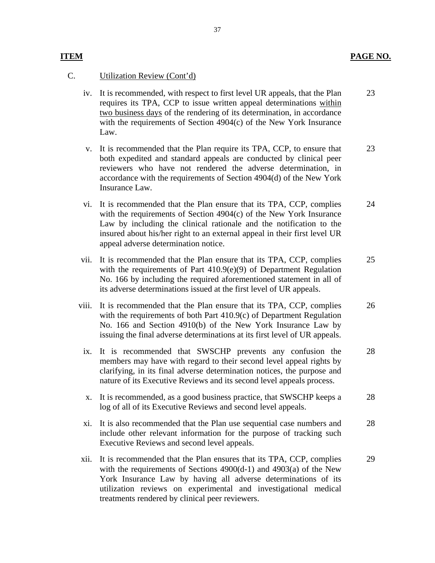## **PAGE NO.**

## **ITEM**

### C. Utilization Review (Cont'd)

- iv. It is recommended, with respect to first level UR appeals, that the Plan requires its TPA, CCP to issue written appeal determinations within two business days of the rendering of its determination, in accordance with the requirements of Section 4904(c) of the New York Insurance Law. 23
- v. It is recommended that the Plan require its TPA, CCP, to ensure that both expedited and standard appeals are conducted by clinical peer reviewers who have not rendered the adverse determination, in accordance with the requirements of Section 4904(d) of the New York Insurance Law. 23
- vi. It is recommended that the Plan ensure that its TPA, CCP, complies with the requirements of Section 4904(c) of the New York Insurance Law by including the clinical rationale and the notification to the insured about his/her right to an external appeal in their first level UR appeal adverse determination notice. 24
- vii. It is recommended that the Plan ensure that its TPA, CCP, complies with the requirements of Part 410.9(e)(9) of Department Regulation No. 166 by including the required aforementioned statement in all of its adverse determinations issued at the first level of UR appeals. 25
- viii. It is recommended that the Plan ensure that its TPA, CCP, complies with the requirements of both Part 410.9(c) of Department Regulation No. 166 and Section 4910(b) of the New York Insurance Law by issuing the final adverse determinations at its first level of UR appeals. 26
- ix. It is recommended that SWSCHP prevents any confusion the members may have with regard to their second level appeal rights by clarifying, in its final adverse determination notices, the purpose and nature of its Executive Reviews and its second level appeals process. 28
- x. It is recommended, as a good business practice, that SWSCHP keeps a log of all of its Executive Reviews and second level appeals. 28
- xi. It is also recommended that the Plan use sequential case numbers and include other relevant information for the purpose of tracking such Executive Reviews and second level appeals. 28
- xii. It is recommended that the Plan ensures that its TPA, CCP, complies with the requirements of Sections 4900(d-1) and 4903(a) of the New York Insurance Law by having all adverse determinations of its utilization reviews on experimental and investigational medical treatments rendered by clinical peer reviewers. 29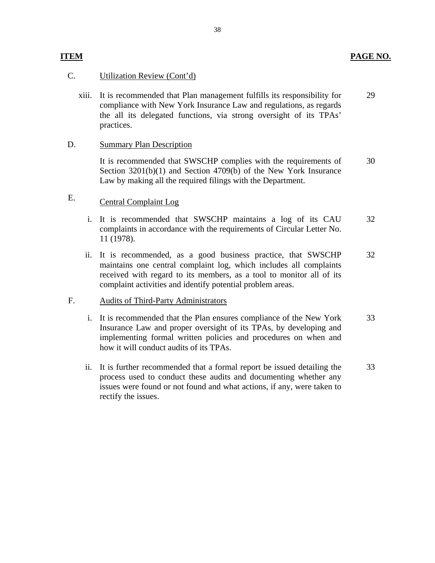# **ITEM PAGE NO.**

## C. Utilization Review (Cont'd)

xiii. It is recommended that Plan management fulfills its responsibility for compliance with New York Insurance Law and regulations, as regards the all its delegated functions, via strong oversight of its TPAs' practices. 29

## D. Summary Plan Description

It is recommended that SWSCHP complies with the requirements of Section 3201(b)(1) and Section 4709(b) of the New York Insurance Law by making all the required filings with the Department. 30

# E. Central Complaint Log

- i. It is recommended that SWSCHP maintains a log of its CAU complaints in accordance with the requirements of Circular Letter No. 11 (1978). 32
- ii. It is recommended, as a good business practice, that SWSCHP maintains one central complaint log, which includes all complaints received with regard to its members, as a tool to monitor all of its complaint activities and identify potential problem areas. 32

## F. Audits of Third-Party Administrators

- i. It is recommended that the Plan ensures compliance of the New York Insurance Law and proper oversight of its TPAs, by developing and implementing formal written policies and procedures on when and how it will conduct audits of its TPAs. 33
- ii. It is further recommended that a formal report be issued detailing the process used to conduct these audits and documenting whether any issues were found or not found and what actions, if any, were taken to rectify the issues. 33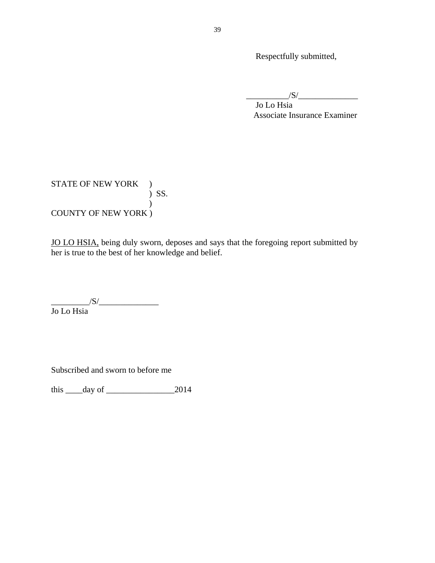Respectfully submitted,

 $\frac{1}{\sqrt{S}}$ 

Jo Lo Hsia Associate Insurance Examiner

STATE OF NEW YORK )  $\int$  SS.  $\overline{)}$ COUNTY OF NEW YORK )

JO LO HSIA, being duly sworn, deposes and says that the foregoing report submitted by her is true to the best of her knowledge and belief.

 $\frac{1}{\sqrt{S}}$ Jo Lo Hsia

Subscribed and sworn to before me

this \_\_\_\_day of \_\_\_\_\_\_\_\_\_\_\_\_\_\_\_\_2014